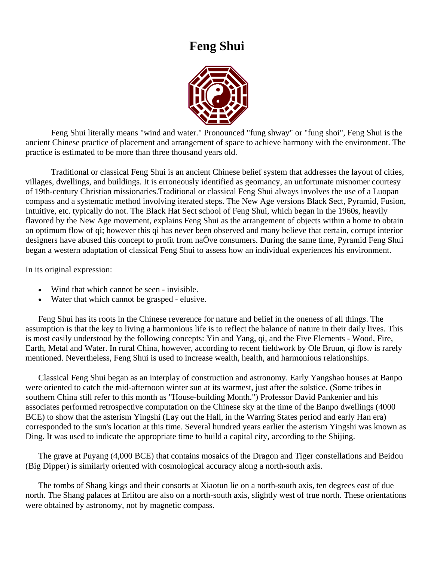# **Feng Shui**



Feng Shui literally means "wind and water." Pronounced "fung shway" or "fung shoi", Feng Shui is the ancient Chinese practice of placement and arrangement of space to achieve harmony with the environment. The practice is estimated to be more than three thousand years old.

Traditional or classical Feng Shui is an ancient Chinese belief system that addresses the layout of cities, villages, dwellings, and buildings. It is erroneously identified as geomancy, an unfortunate misnomer courtesy of 19th-century Christian missionaries.Traditional or classical Feng Shui always involves the use of a Luopan compass and a systematic method involving iterated steps. The New Age versions Black Sect, Pyramid, Fusion, Intuitive, etc. typically do not. The Black Hat Sect school of Feng Shui, which began in the 1960s, heavily flavored by the New Age movement, explains Feng Shui as the arrangement of objects within a home to obtain an optimum flow of qi; however this qi has never been observed and many believe that certain, corrupt interior designers have abused this concept to profit from naÔve consumers. During the same time, Pyramid Feng Shui began a western adaptation of classical Feng Shui to assess how an individual experiences his environment.

In its original expression:

- Wind that which cannot be seen invisible.
- Water that which cannot be grasped elusive.

Feng Shui has its roots in the Chinese reverence for nature and belief in the oneness of all things. The assumption is that the key to living a harmonious life is to reflect the balance of nature in their daily lives. This is most easily understood by the following concepts: Yin and Yang, qi, and the Five Elements - Wood, Fire, Earth, Metal and Water. In rural China, however, according to recent fieldwork by Ole Bruun, qi flow is rarely mentioned. Nevertheless, Feng Shui is used to increase wealth, health, and harmonious relationships.

Classical Feng Shui began as an interplay of construction and astronomy. Early Yangshao houses at Banpo were oriented to catch the mid-afternoon winter sun at its warmest, just after the solstice. (Some tribes in southern China still refer to this month as "House-building Month.") Professor David Pankenier and his associates performed retrospective computation on the Chinese sky at the time of the Banpo dwellings (4000 BCE) to show that the asterism Yingshi (Lay out the Hall, in the Warring States period and early Han era) corresponded to the sun's location at this time. Several hundred years earlier the asterism Yingshi was known as Ding. It was used to indicate the appropriate time to build a capital city, according to the Shijing.

The grave at Puyang (4,000 BCE) that contains mosaics of the Dragon and Tiger constellations and Beidou (Big Dipper) is similarly oriented with cosmological accuracy along a north-south axis.

The tombs of Shang kings and their consorts at Xiaotun lie on a north-south axis, ten degrees east of due north. The Shang palaces at Erlitou are also on a north-south axis, slightly west of true north. These orientations were obtained by astronomy, not by magnetic compass.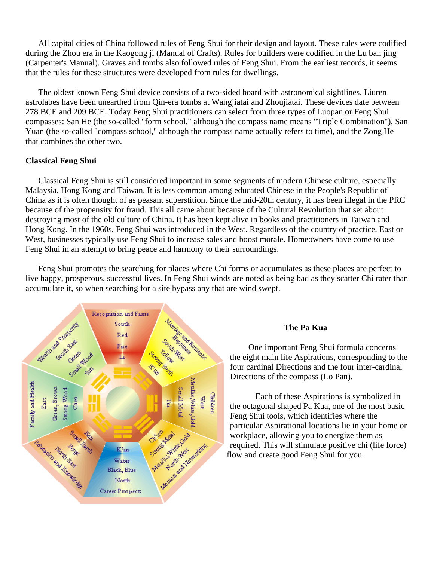All capital cities of China followed rules of Feng Shui for their design and layout. These rules were codified during the Zhou era in the Kaogong ji (Manual of Crafts). Rules for builders were codified in the Lu ban jing (Carpenter's Manual). Graves and tombs also followed rules of Feng Shui. From the earliest records, it seems that the rules for these structures were developed from rules for dwellings.

The oldest known Feng Shui device consists of a two-sided board with astronomical sightlines. Liuren astrolabes have been unearthed from Qin-era tombs at Wangjiatai and Zhoujiatai. These devices date between 278 BCE and 209 BCE. Today Feng Shui practitioners can select from three types of Luopan or Feng Shui compasses: San He (the so-called "form school," although the compass name means "Triple Combination"), San Yuan (the so-called "compass school," although the compass name actually refers to time), and the Zong He that combines the other two.

#### **Classical Feng Shui**

Classical Feng Shui is still considered important in some segments of modern Chinese culture, especially Malaysia, Hong Kong and Taiwan. It is less common among educated Chinese in the People's Republic of China as it is often thought of as peasant superstition. Since the mid-20th century, it has been illegal in the PRC because of the propensity for fraud. This all came about because of the Cultural Revolution that set about destroying most of the old culture of China. It has been kept alive in books and practitioners in Taiwan and Hong Kong. In the 1960s, Feng Shui was introduced in the West. Regardless of the country of practice, East or West, businesses typically use Feng Shui to increase sales and boost morale. Homeowners have come to use Feng Shui in an attempt to bring peace and harmony to their surroundings.

Feng Shui promotes the searching for places where Chi forms or accumulates as these places are perfect to live happy, prosperous, successful lives. In Feng Shui winds are noted as being bad as they scatter Chi rater than accumulate it, so when searching for a site bypass any that are wind swept.



One important Feng Shui formula concerns the eight main life Aspirations, corresponding to the four cardinal Directions and the four inter-cardinal Directions of the compass (Lo Pan).

Each of these Aspirations is symbolized in the octagonal shaped Pa Kua, one of the most basic Feng Shui tools, which identifies where the particular Aspirational locations lie in your home or workplace, allowing you to energize them as required. This will stimulate positive chi (life force) flow and create good Feng Shui for you.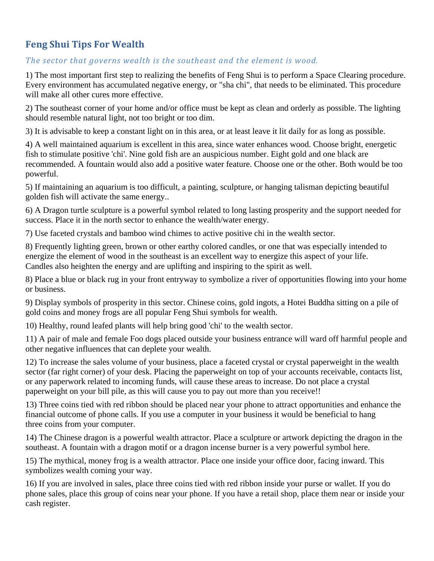## **Feng Shui Tips For Wealth**

## *The sector that governs wealth is the southeast and the element is wood.*

1) The most important first step to realizing the benefits of Feng Shui is to perform a Space Clearing procedure. Every environment has accumulated negative energy, or "sha chi", that needs to be eliminated. This procedure will make all other cures more effective.

2) The southeast corner of your home and/or office must be kept as clean and orderly as possible. The lighting should resemble natural light, not too bright or too dim.

3) It is advisable to keep a constant light on in this area, or at least leave it lit daily for as long as possible.

4) A well maintained aquarium is excellent in this area, since water enhances wood. Choose bright, energetic fish to stimulate positive 'chi'. Nine gold fish are an auspicious number. Eight gold and one black are recommended. A fountain would also add a positive water feature. Choose one or the other. Both would be too powerful.

5) If maintaining an aquarium is too difficult, a painting, sculpture, or hanging talisman depicting beautiful golden fish will activate the same energy..

6) A Dragon turtle sculpture is a powerful symbol related to long lasting prosperity and the support needed for success. Place it in the north sector to enhance the wealth/water energy.

7) Use faceted crystals and bamboo wind chimes to active positive chi in the wealth sector.

8) Frequently lighting green, brown or other earthy colored candles, or one that was especially intended to energize the element of wood in the southeast is an excellent way to energize this aspect of your life. Candles also heighten the energy and are uplifting and inspiring to the spirit as well.

8) Place a blue or black rug in your front entryway to symbolize a river of opportunities flowing into your home or business.

9) Display symbols of prosperity in this sector. Chinese coins, gold ingots, a Hotei Buddha sitting on a pile of gold coins and money frogs are all popular Feng Shui symbols for wealth.

10) Healthy, round leafed plants will help bring good 'chi' to the wealth sector.

11) A pair of male and female Foo dogs placed outside your business entrance will ward off harmful people and other negative influences that can deplete your wealth.

12) To increase the sales volume of your business, place a faceted crystal or crystal paperweight in the wealth sector (far right corner) of your desk. Placing the paperweight on top of your accounts receivable, contacts list, or any paperwork related to incoming funds, will cause these areas to increase. Do not place a crystal paperweight on your bill pile, as this will cause you to pay out more than you receive!!

13) Three coins tied with red ribbon should be placed near your phone to attract opportunities and enhance the financial outcome of phone calls. If you use a computer in your business it would be beneficial to hang three coins from your computer.

14) The Chinese dragon is a powerful wealth attractor. Place a sculpture or artwork depicting the dragon in the southeast. A fountain with a dragon motif or a dragon incense burner is a very powerful symbol here.

15) The mythical, money frog is a wealth attractor. Place one inside your office door, facing inward. This symbolizes wealth coming your way.

16) If you are involved in sales, place three coins tied with red ribbon inside your purse or wallet. If you do phone sales, place this group of coins near your phone. If you have a retail shop, place them near or inside your cash register.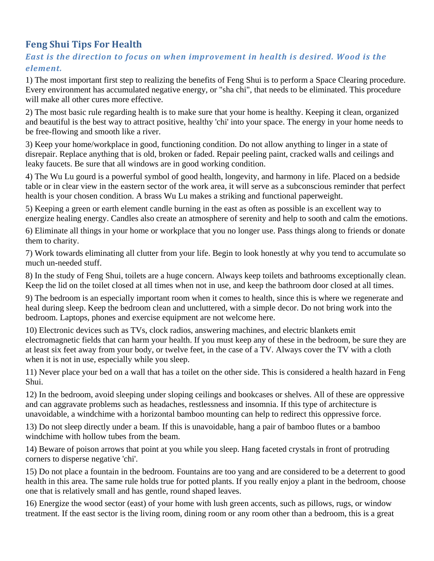## **Feng Shui Tips For Health**

## *East is the direction to focus on when improvement in health is desired. Wood is the element.*

1) The most important first step to realizing the benefits of Feng Shui is to perform a Space Clearing procedure. Every environment has accumulated negative energy, or "sha chi", that needs to be eliminated. This procedure will make all other cures more effective.

2) The most basic rule regarding health is to make sure that your home is healthy. Keeping it clean, organized and beautiful is the best way to attract positive, healthy 'chi' into your space. The energy in your home needs to be free-flowing and smooth like a river.

3) Keep your home/workplace in good, functioning condition. Do not allow anything to linger in a state of disrepair. Replace anything that is old, broken or faded. Repair peeling paint, cracked walls and ceilings and leaky faucets. Be sure that all windows are in good working condition.

4) The Wu Lu gourd is a powerful symbol of good health, longevity, and harmony in life. Placed on a bedside table or in clear view in the eastern sector of the work area, it will serve as a subconscious reminder that perfect health is your chosen condition. A brass Wu Lu makes a striking and functional paperweight.

5) Keeping a green or earth element candle burning in the east as often as possible is an excellent way to energize healing energy. Candles also create an atmosphere of serenity and help to sooth and calm the emotions.

6) Eliminate all things in your home or workplace that you no longer use. Pass things along to friends or donate them to charity.

7) Work towards eliminating all clutter from your life. Begin to look honestly at why you tend to accumulate so much un-needed stuff.

8) In the study of Feng Shui, toilets are a huge concern. Always keep toilets and bathrooms exceptionally clean. Keep the lid on the toilet closed at all times when not in use, and keep the bathroom door closed at all times.

9) The bedroom is an especially important room when it comes to health, since this is where we regenerate and heal during sleep. Keep the bedroom clean and uncluttered, with a simple decor. Do not bring work into the bedroom. Laptops, phones and exercise equipment are not welcome here.

10) Electronic devices such as TVs, clock radios, answering machines, and electric blankets emit electromagnetic fields that can harm your health. If you must keep any of these in the bedroom, be sure they are at least six feet away from your body, or twelve feet, in the case of a TV. Always cover the TV with a cloth when it is not in use, especially while you sleep.

11) Never place your bed on a wall that has a toilet on the other side. This is considered a health hazard in Feng Shui.

12) In the bedroom, avoid sleeping under sloping ceilings and bookcases or shelves. All of these are oppressive and can aggravate problems such as headaches, restlessness and insomnia. If this type of architecture is unavoidable, a windchime with a horizontal bamboo mounting can help to redirect this oppressive force.

13) Do not sleep directly under a beam. If this is unavoidable, hang a pair of bamboo flutes or a bamboo windchime with hollow tubes from the beam.

14) Beware of poison arrows that point at you while you sleep. Hang faceted crystals in front of protruding corners to disperse negative 'chi'.

15) Do not place a fountain in the bedroom. Fountains are too yang and are considered to be a deterrent to good health in this area. The same rule holds true for potted plants. If you really enjoy a plant in the bedroom, choose one that is relatively small and has gentle, round shaped leaves.

16) Energize the wood sector (east) of your home with lush green accents, such as pillows, rugs, or window treatment. If the east sector is the living room, dining room or any room other than a bedroom, this is a great